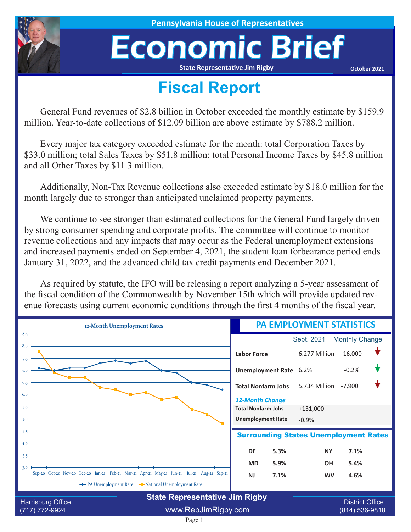

**House of Representatives** 

# Economic Brief

**State Representative Jim Rigby**

**October 2021**

## **Fiscal Report**

General Fund revenues of \$2.8 billion in October exceeded the monthly estimate by \$159.9 million. Year-to-date collections of \$12.09 billion are above estimate by \$788.2 million.

Every major tax category exceeded estimate for the month: total Corporation Taxes by \$33.0 million; total Sales Taxes by \$51.8 million; total Personal Income Taxes by \$45.8 million and all Other Taxes by \$11.3 million.

Additionally, Non-Tax Revenue collections also exceeded estimate by \$18.0 million for the month largely due to stronger than anticipated unclaimed property payments.

We continue to see stronger than estimated collections for the General Fund largely driven by strong consumer spending and corporate profits. The committee will continue to monitor revenue collections and any impacts that may occur as the Federal unemployment extensions and increased payments ended on September 4, 2021, the student loan forbearance period ends January 31, 2022, and the advanced child tax credit payments end December 2021.

As required by statute, the IFO will be releasing a report analyzing a 5-year assessment of the fiscal condition of the Commonwealth by November 15th which will provide updated revenue forecasts using current economic conditions through the first 4 months of the fiscal year.

| 12-Month Unemployment Rates                                                                                                        | <b>PA EMPLOYMENT STATISTICS</b> |                       |                                          |  |  |
|------------------------------------------------------------------------------------------------------------------------------------|---------------------------------|-----------------------|------------------------------------------|--|--|
| 8.5                                                                                                                                |                                 | Sept. 2021            | <b>Monthly Change</b>                    |  |  |
| 8.0<br>7.5                                                                                                                         | <b>Labor Force</b>              | 6.277 Million -16,000 |                                          |  |  |
| 7.0                                                                                                                                | Unemployment Rate 6.2%          |                       | $-0.2%$                                  |  |  |
|                                                                                                                                    | <b>Total Nonfarm Jobs</b>       | 5.734 Million         | $-7,900$                                 |  |  |
|                                                                                                                                    | <b>12-Month Change</b>          |                       |                                          |  |  |
| 5.5                                                                                                                                | <b>Total Nonfarm Jobs</b>       | $+131,000$            |                                          |  |  |
| 5.0                                                                                                                                | <b>Unemployment Rate</b>        | $-0.9%$               |                                          |  |  |
| 4.5<br><b>Surrounding States Unemployment Rates</b>                                                                                |                                 |                       |                                          |  |  |
| 4.0<br><u> 1989 - Johann Stein, marwolaethau a bhann an t-Amhair an t-Amhair an t-Amhair an t-Amhair an t-Amhair an t-A</u><br>3.5 | 5.3%<br><b>DE</b>               | <b>NY</b>             | 7.1%                                     |  |  |
|                                                                                                                                    | 5.9%<br><b>MD</b>               | <b>OH</b>             | 5.4%                                     |  |  |
| 3.0<br>Sep-20 Oct-20 Nov-20 Dec-20 Jan-21 Feb-21 Mar-21 Apr-21 May-21 Jun-21 Jul-21 Aug-21 Sep-21                                  | 7.1%<br><b>NJ</b>               | <b>WV</b>             | 4.6%                                     |  |  |
| The PA Unemployment Rate The National Unemployment Rate                                                                            |                                 |                       |                                          |  |  |
| <b>State Representative Jim Rigby</b>                                                                                              |                                 |                       |                                          |  |  |
| Harrisburg Office<br>$(717) 772 - 9924$                                                                                            | www.RepJimRigby.com             |                       | <b>District Office</b><br>(814) 536-9818 |  |  |

### Page 1